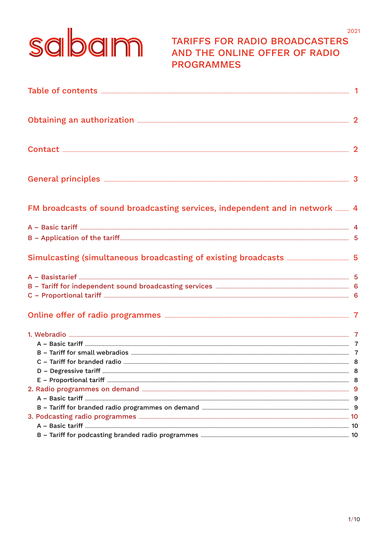# sabam

## **TARIFFS FOR RADIO BROADCASTERS** AND THE ONLINE OFFER OF RADIO **PROGRAMMES**

2021

| Obtaining an authorization <b>Election</b> 2                                                                                                                                                                                         |  |
|--------------------------------------------------------------------------------------------------------------------------------------------------------------------------------------------------------------------------------------|--|
|                                                                                                                                                                                                                                      |  |
|                                                                                                                                                                                                                                      |  |
| FM broadcasts of sound broadcasting services, independent and in network  4                                                                                                                                                          |  |
|                                                                                                                                                                                                                                      |  |
|                                                                                                                                                                                                                                      |  |
|                                                                                                                                                                                                                                      |  |
|                                                                                                                                                                                                                                      |  |
|                                                                                                                                                                                                                                      |  |
|                                                                                                                                                                                                                                      |  |
| Online offer of radio programmes <b>Entitainment of the Constantinent Constantinent Constanting Constanting Constanting Constanting Constanting Constanting Constanting Constanting Constanting Constanting Constanting Constant</b> |  |
|                                                                                                                                                                                                                                      |  |
|                                                                                                                                                                                                                                      |  |
|                                                                                                                                                                                                                                      |  |
|                                                                                                                                                                                                                                      |  |
|                                                                                                                                                                                                                                      |  |
|                                                                                                                                                                                                                                      |  |
|                                                                                                                                                                                                                                      |  |
|                                                                                                                                                                                                                                      |  |
|                                                                                                                                                                                                                                      |  |
|                                                                                                                                                                                                                                      |  |
|                                                                                                                                                                                                                                      |  |
|                                                                                                                                                                                                                                      |  |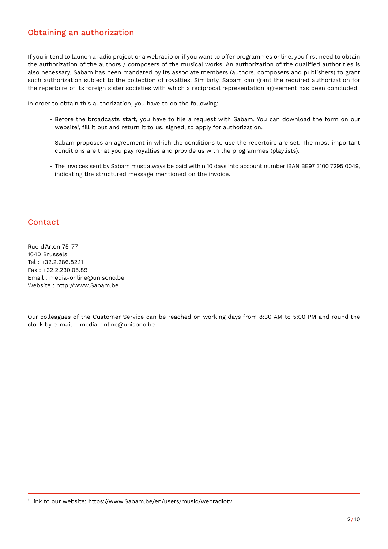## Obtaining an authorization

If you intend to launch a radio project or a webradio or if you want to offer programmes online, you first need to obtain the authorization of the authors / composers of the musical works. An authorization of the qualified authorities is also necessary. Sabam has been mandated by its associate members (authors, composers and publishers) to grant such authorization subject to the collection of royalties. Similarly, Sabam can grant the required authorization for the repertoire of its foreign sister societies with which a reciprocal representation agreement has been concluded.

In order to obtain this authorization, you have to do the following:

- Before the broadcasts start, you have to file a request with Sabam. You can download the form on our website1 , fill it out and return it to us, signed, to apply for authorization.
- Sabam proposes an agreement in which the conditions to use the repertoire are set. The most important conditions are that you pay royalties and provide us with the programmes (playlists).
- The invoices sent by Sabam must always be paid within 10 days into account number IBAN BE97 3100 7295 0049, indicating the structured message mentioned on the invoice.

### Contact

Rue d'Arlon 75-77 1040 Brussels Tel : +32.2.286.82.11 Fax : +32.2.230.05.89 Email : media-online@unisono.be Website : http://www.Sabam.be

Our colleagues of the Customer Service can be reached on working days from 8:30 AM to 5:00 PM and round the clock by e-mail – media-online@unisono.be

1 Link to our website: https://www.Sabam.be/en/users/music/webradiotv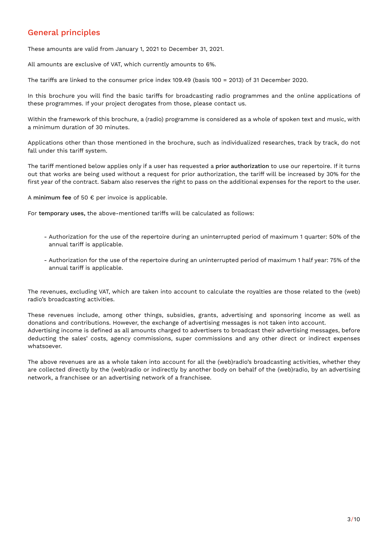## General principles

These amounts are valid from January 1, 2021 to December 31, 2021.

All amounts are exclusive of VAT, which currently amounts to 6%.

The tariffs are linked to the consumer price index 109.49 (basis 100 = 2013) of 31 December 2020.

In this brochure you will find the basic tariffs for broadcasting radio programmes and the online applications of these programmes. If your project derogates from those, please contact us.

Within the framework of this brochure, a (radio) programme is considered as a whole of spoken text and music, with a minimum duration of 30 minutes.

Applications other than those mentioned in the brochure, such as individualized researches, track by track, do not fall under this tariff system.

The tariff mentioned below applies only if a user has requested a prior authorization to use our repertoire. If it turns out that works are being used without a request for prior authorization, the tariff will be increased by 30% for the first year of the contract. Sabam also reserves the right to pass on the additional expenses for the report to the user.

A minimum fee of 50  $\epsilon$  per invoice is applicable.

For temporary uses, the above-mentioned tariffs will be calculated as follows:

- Authorization for the use of the repertoire during an uninterrupted period of maximum 1 quarter: 50% of the annual tariff is applicable.
- Authorization for the use of the repertoire during an uninterrupted period of maximum 1 half year: 75% of the annual tariff is applicable.

The revenues, excluding VAT, which are taken into account to calculate the royalties are those related to the (web) radio's broadcasting activities.

These revenues include, among other things, subsidies, grants, advertising and sponsoring income as well as donations and contributions. However, the exchange of advertising messages is not taken into account. Advertising income is defined as all amounts charged to advertisers to broadcast their advertising messages, before deducting the sales' costs, agency commissions, super commissions and any other direct or indirect expenses whatsoever.

The above revenues are as a whole taken into account for all the (web)radio's broadcasting activities, whether they are collected directly by the (web)radio or indirectly by another body on behalf of the (web)radio, by an advertising network, a franchisee or an advertising network of a franchisee.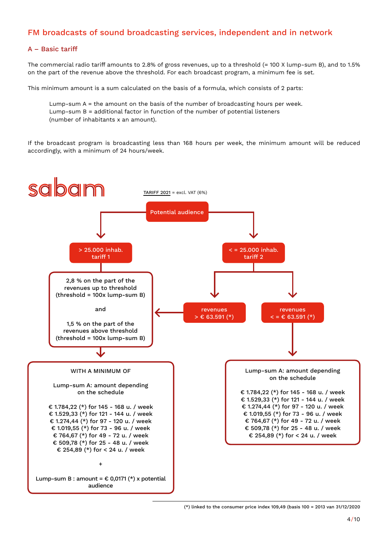## FM broadcasts of sound broadcasting services, independent and in network

#### A – Basic tariff

The commercial radio tariff amounts to 2.8% of gross revenues, up to a threshold (= 100 X lump-sum B), and to 1.5% on the part of the revenue above the threshold. For each broadcast program, a minimum fee is set.

This minimum amount is a sum calculated on the basis of a formula, which consists of 2 parts:

Lump-sum A = the amount on the basis of the number of broadcasting hours per week. Lump-sum B = additional factor in function of the number of potential listeners (number of inhabitants x an amount).

If the broadcast program is broadcasting less than 168 hours per week, the minimum amount will be reduced accordingly, with a minimum of 24 hours/week.

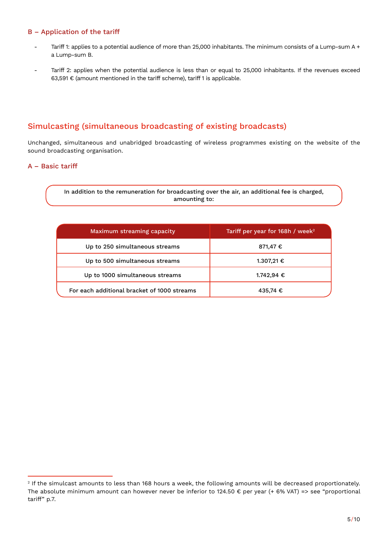#### B – Application of the tariff

- Tariff 1: applies to a potential audience of more than 25,000 inhabitants. The minimum consists of a Lump-sum A + a Lump-sum B.
- Tariff 2: applies when the potential audience is less than or equal to 25,000 inhabitants. If the revenues exceed 63,591 € (amount mentioned in the tariff scheme), tariff 1 is applicable.

## Simulcasting (simultaneous broadcasting of existing broadcasts)

Unchanged, simultaneous and unabridged broadcasting of wireless programmes existing on the website of the sound broadcasting organisation.

#### A – Basic tariff

In addition to the remuneration for broadcasting over the air, an additional fee is charged, amounting to:

| Maximum streaming capacity                  | Tariff per year for 168h / week <sup>2</sup> |
|---------------------------------------------|----------------------------------------------|
| Up to 250 simultaneous streams              | 871,47 €                                     |
| Up to 500 simultaneous streams              | 1.307,21 €                                   |
| Up to 1000 simultaneous streams             | 1.742,94 €                                   |
| For each additional bracket of 1000 streams | 435,74 €                                     |

<sup>&</sup>lt;sup>2</sup> If the simulcast amounts to less than 168 hours a week, the following amounts will be decreased proportionately. The absolute minimum amount can however never be inferior to 124.50  $\epsilon$  per year (+ 6% VAT) => see "proportional tariff" p.7.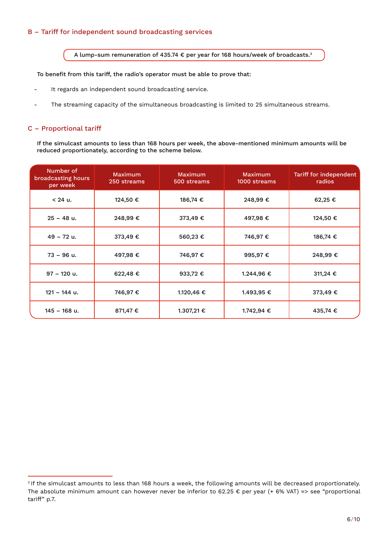#### B – Tariff for independent sound broadcasting services

A lump-sum remuneration of 435.74 € per year for 168 hours/week of broadcasts.3

To benefit from this tariff, the radio's operator must be able to prove that:

- It regards an independent sound broadcasting service.
- The streaming capacity of the simultaneous broadcasting is limited to 25 simultaneous streams.

#### C – Proportional tariff

If the simulcast amounts to less than 168 hours per week, the above-mentioned minimum amounts will be reduced proportionately, according to the scheme below.

| Number of<br>broadcasting hours<br>per week | <b>Maximum</b><br>250 streams | Maximum<br>500 streams | Maximum<br>1000 streams | Tariff for independent<br>radios |
|---------------------------------------------|-------------------------------|------------------------|-------------------------|----------------------------------|
| $< 24$ u.                                   | 124,50 €                      | 186,74 €               | 248,99€                 | 62,25 €                          |
| $25 - 48$ u.                                | 248,99€                       | 373,49 €               | 497,98€                 | 124,50 €                         |
| $49 - 72$ u.                                | 373,49 €                      | 560,23 €               | 746,97€                 | 186,74 €                         |
| $73 - 96$ u.                                | 497,98 €                      | 746,97 €               | 995,97€                 | 248,99€                          |
| $97 - 120$ u.                               | 622,48€                       | 933,72 €               | 1.244,96 €              | 311,24 €                         |
| $121 - 144$ u.                              | 746,97 €                      | 1.120,46 €             | 1.493,95 €              | 373,49 €                         |
| $145 - 168$ u.                              | 871,47€                       | 1.307,21 €             | 1.742,94 €              | 435,74 €                         |

<sup>&</sup>lt;sup>3</sup> If the simulcast amounts to less than 168 hours a week, the following amounts will be decreased proportionately. The absolute minimum amount can however never be inferior to 62.25 € per year (+ 6% VAT) => see "proportional tariff" p.7.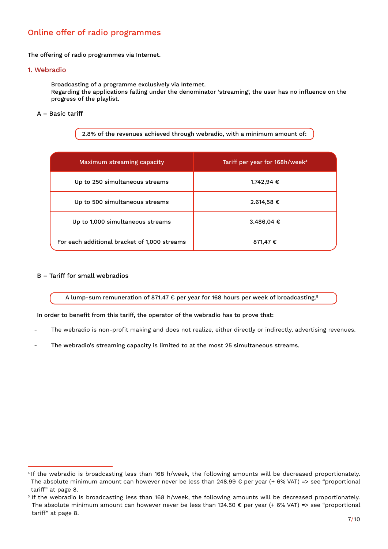## Online offer of radio programmes

The offering of radio programmes via Internet.

#### 1. Webradio

Broadcasting of a programme exclusively via Internet. Regarding the applications falling under the denominator 'streaming', the user has no influence on the progress of the playlist.

#### A – Basic tariff

2.8% of the revenues achieved through webradio, with a minimum amount of:

| Maximum streaming capacity                   | Tariff per year for 168h/week <sup>4</sup> |
|----------------------------------------------|--------------------------------------------|
| Up to 250 simultaneous streams               | 1.742,94 €                                 |
| Up to 500 simultaneous streams               | $2.614,58 \notin$                          |
| Up to 1,000 simultaneous streams             | 3.486,04 €                                 |
| For each additional bracket of 1,000 streams | 871,47 €                                   |

#### B – Tariff for small webradios

A lump-sum remuneration of 871.47 € per year for 168 hours per week of broadcasting.5

#### In order to benefit from this tariff, the operator of the webradio has to prove that:

- The webradio is non-profit making and does not realize, either directly or indirectly, advertising revenues.
- The webradio's streaming capacity is limited to at the most 25 simultaneous streams.

<sup>&</sup>lt;sup>4</sup> If the webradio is broadcasting less than 168 h/week, the following amounts will be decreased proportionately. The absolute minimum amount can however never be less than 248.99  $\epsilon$  per year (+ 6% VAT) => see "proportional tariff" at page 8.

<sup>5</sup> If the webradio is broadcasting less than 168 h/week, the following amounts will be decreased proportionately. The absolute minimum amount can however never be less than 124.50 € per year (+ 6% VAT) => see "proportional tariff" at page 8.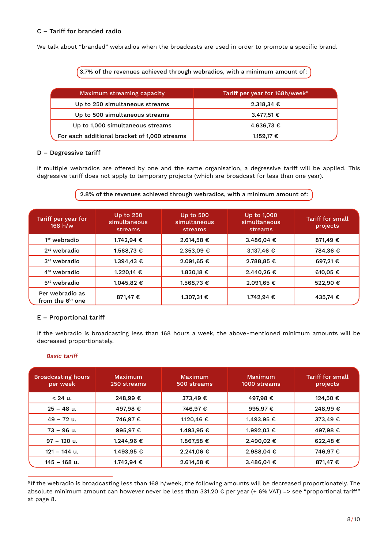#### C – Tariff for branded radio

We talk about "branded" webradios when the broadcasts are used in order to promote a specific brand.

3.7% of the revenues achieved through webradios, with a minimum amount of:

| Maximum streaming capacity                   | Tariff per year for 168h/week <sup>6</sup> |
|----------------------------------------------|--------------------------------------------|
| Up to 250 simultaneous streams               | $2.318,34 \text{ }€$                       |
| Up to 500 simultaneous streams               | 3.477,51 €                                 |
| Up to 1,000 simultaneous streams             | 4.636,73 €                                 |
| For each additional bracket of 1,000 streams | 1.159,17 €                                 |

#### D – Degressive tariff

If multiple webradios are offered by one and the same organisation, a degressive tariff will be applied. This degressive tariff does not apply to temporary projects (which are broadcast for less than one year).

#### 2.8% of the revenues achieved through webradios, with a minimum amount of:

| Tariff per year for<br>168 h/w                  | Up to 250<br>simultaneous<br>streams | <b>Up to 500</b><br>simultaneous<br>streams | Up to 1,000<br>simultaneous<br>streams | Tariff for small<br>projects |
|-------------------------------------------------|--------------------------------------|---------------------------------------------|----------------------------------------|------------------------------|
| $1st$ webradio                                  | 1.742,94 €                           | 2.614,58 €                                  | 3.486.04 €                             | 871.49 €                     |
| $2st$ webradio                                  | 1.568,73 €                           | $2.353,09 \in$                              | 3.137,46 €                             | 784,36 €                     |
| $3st$ webradio                                  | 1.394.43 €                           | 2.091,65 €                                  | 2.788.85 €                             | 697.21€                      |
| $4st$ webradio                                  | 1.220,14 €                           | 1.830,18 €                                  | 2.440,26 €                             | 610,05 €                     |
| $5st$ webradio                                  | 1.045,82 €                           | 1.568,73 €                                  | 2.091,65 €                             | 522.90 €                     |
| Per webradio as<br>from the 6 <sup>th</sup> one | 871,47 €                             | 1.307,31 €                                  | 1.742,94 €                             | 435,74 €                     |

#### E – Proportional tariff

If the webradio is broadcasting less than 168 hours a week, the above-mentioned minimum amounts will be decreased proportionately.

#### Basic tariff

| <b>Broadcasting hours</b><br>per week | Maximum<br>250 streams | Maximum<br>500 streams | Maximum<br>1000 streams | Tariff for small<br>projects |
|---------------------------------------|------------------------|------------------------|-------------------------|------------------------------|
| $< 24$ u.                             | 248,99€                | 373,49 €               | 497.98 €                | 124,50 €                     |
| $25 - 48$ u.                          | 497,98 €               | 746,97 €               | 995,97€                 | 248,99€                      |
| $49 - 72$ u.                          | 746.97 €               | 1.120,46 €             | 1.493,95 €              | 373,49 €                     |
| $73 - 96$ u.                          | 995,97€                | 1.493.95 €             | 1.992,03 €              | 497.98 €                     |
| $97 - 120$ u.                         | 1.244,96 €             | 1.867,58 €             | 2.490,02 €              | 622,48€                      |
| $121 - 144$ u.                        | 1.493,95 €             | 2.241,06 €             | 2.988,04 €              | 746,97 €                     |
| 145 - 168 u.                          | 1.742,94 €             | 2.614,58 €             | 3.486,04 €              | 871,47€                      |

<sup>6</sup> If the webradio is broadcasting less than 168 h/week, the following amounts will be decreased proportionately. The absolute minimum amount can however never be less than 331.20 € per year (+ 6% VAT) => see "proportional tariff" at page 8.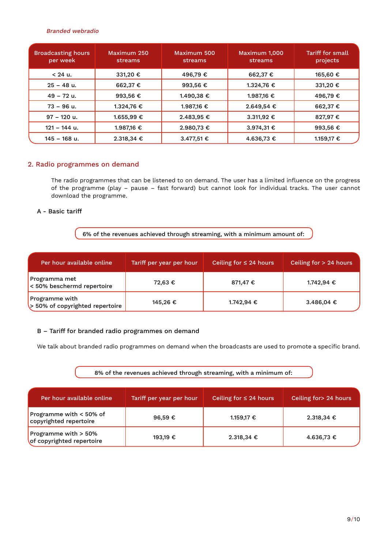#### Branded webradio

| <b>Broadcasting hours</b><br>per week | Maximum 250<br>streams  | Maximum 500<br>streams. | Maximum 1.000<br>streams | Tariff for small<br>projects |
|---------------------------------------|-------------------------|-------------------------|--------------------------|------------------------------|
| $< 24$ u.                             | 331,20 €                | 496,79€                 | 662,37 €                 | 165,60 €                     |
| $25 - 48$ u.                          | 662,37 €                | 993,56€                 | 1.324,76 €               | 331,20 €                     |
| $49 - 72$ u.                          | 993,56 €                | 1.490,38 €              | 1.987,16 €               | 496,79€                      |
| $73 - 96$ u.                          | 1.324,76 €              | 1.987.16 €              | 2.649,54 €               | 662,37 €                     |
| 97 – 120 u.                           | 1.655,99 €              | 2.483,95 €              | 3.311,92 €               | 827,97€                      |
| $121 - 144$ u.                        | 1.987,16 €              | 2.980,73 €              | 3.974,31 €               | 993,56 €                     |
| $145 - 168$ u.                        | $2.318,34 \text{ } \in$ | 3.477,51 €              | 4.636,73 €               | 1.159,17 €                   |

#### 2. Radio programmes on demand

The radio programmes that can be listened to on demand. The user has a limited influence on the progress of the programme (play – pause – fast forward) but cannot look for individual tracks. The user cannot download the programme.

#### A - Basic tariff

6% of the revenues achieved through streaming, with a minimum amount of:

| Per hour available online                         | Tariff per year per hour | Ceiling for $\leq$ 24 hours | Ceiling for $> 24$ hours |
|---------------------------------------------------|--------------------------|-----------------------------|--------------------------|
| Programma met<br>$\leq 50\%$ beschermd repertoire | 72.63 €                  | 871,47 €                    | 1.742.94 €               |
| Programme with<br>> 50% of copyrighted repertoire | 145,26 €                 | 1.742,94 €                  | 3.486,04 €               |

#### B – Tariff for branded radio programmes on demand

We talk about branded radio programmes on demand when the broadcasts are used to promote a specific brand.

#### 8% of the revenues achieved through streaming, with a minimum of:

| Per hour available online                           | Tariff per year per hour | Ceiling for $\leq$ 24 hours | Ceiling for > 24 hours  |
|-----------------------------------------------------|--------------------------|-----------------------------|-------------------------|
| Programme with $<$ 50% of<br>copyrighted repertoire | 96.59 $\epsilon$         | 1.159,17 €                  | $2.318,34 \text{ } \in$ |
| Programme with > 50%<br>of copyrighted repertoire   | 193,19 €                 | 2.318,34 €                  | 4.636,73 €              |